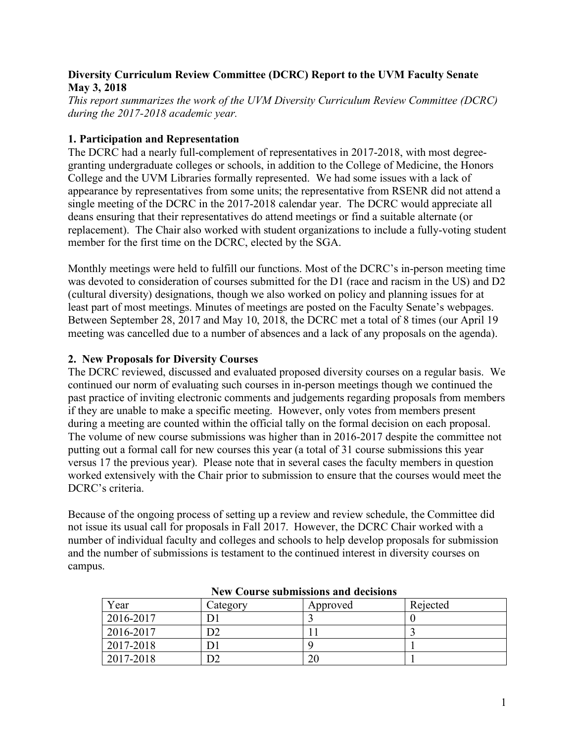## **Diversity Curriculum Review Committee (DCRC) Report to the UVM Faculty Senate May 3, 2018**

*This report summarizes the work of the UVM Diversity Curriculum Review Committee (DCRC) during the 2017-2018 academic year.* 

## **1. Participation and Representation**

The DCRC had a nearly full-complement of representatives in 2017-2018, with most degreegranting undergraduate colleges or schools, in addition to the College of Medicine, the Honors College and the UVM Libraries formally represented. We had some issues with a lack of appearance by representatives from some units; the representative from RSENR did not attend a single meeting of the DCRC in the 2017-2018 calendar year. The DCRC would appreciate all deans ensuring that their representatives do attend meetings or find a suitable alternate (or replacement). The Chair also worked with student organizations to include a fully-voting student member for the first time on the DCRC, elected by the SGA.

Monthly meetings were held to fulfill our functions. Most of the DCRC's in-person meeting time was devoted to consideration of courses submitted for the D1 (race and racism in the US) and D2 (cultural diversity) designations, though we also worked on policy and planning issues for at least part of most meetings. Minutes of meetings are posted on the Faculty Senate's webpages. Between September 28, 2017 and May 10, 2018, the DCRC met a total of 8 times (our April 19 meeting was cancelled due to a number of absences and a lack of any proposals on the agenda).

## **2. New Proposals for Diversity Courses**

The DCRC reviewed, discussed and evaluated proposed diversity courses on a regular basis. We continued our norm of evaluating such courses in in-person meetings though we continued the past practice of inviting electronic comments and judgements regarding proposals from members if they are unable to make a specific meeting. However, only votes from members present during a meeting are counted within the official tally on the formal decision on each proposal. The volume of new course submissions was higher than in 2016-2017 despite the committee not putting out a formal call for new courses this year (a total of 31 course submissions this year versus 17 the previous year). Please note that in several cases the faculty members in question worked extensively with the Chair prior to submission to ensure that the courses would meet the DCRC's criteria.

Because of the ongoing process of setting up a review and review schedule, the Committee did not issue its usual call for proposals in Fall 2017. However, the DCRC Chair worked with a number of individual faculty and colleges and schools to help develop proposals for submission and the number of submissions is testament to the continued interest in diversity courses on campus.

| $1.011$ Course bubility the minimum couple of $\sim$ |          |          |          |
|------------------------------------------------------|----------|----------|----------|
| Year                                                 | Category | Approved | Rejected |
| 2016-2017                                            |          |          |          |
| 2016-2017                                            |          |          |          |
| 2017-2018                                            |          |          |          |
| 2017-2018                                            |          | 20       |          |

**New Course submissions and decisions**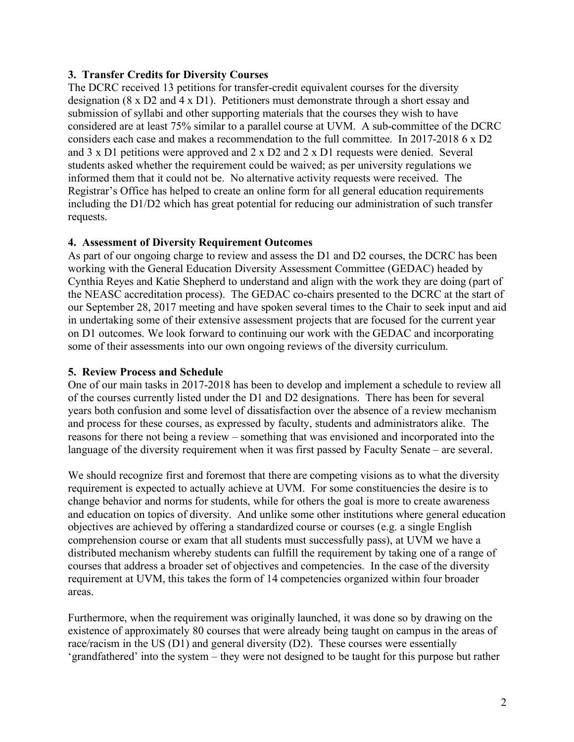## **3. Transfer Credits for Diversity Courses**

The DCRC received 13 petitions for transfer-credit equivalent courses for the diversity designation (8 x D2 and 4 x D1). Petitioners must demonstrate through a short essay and submission of syllabi and other supporting materials that the courses they wish to have considered are at least 75% similar to a parallel course at UVM. A sub-committee of the DCRC considers each case and makes a recommendation to the full committee. In 2017-2018 6 x D2 and 3 x D1 petitions were approved and 2 x D2 and 2 x D1 requests were denied. Several students asked whether the requirement could be waived; as per university regulations we informed them that it could not be. No alternative activity requests were received. The Registrar's Office has helped to create an online form for all general education requirements including the D1/D2 which has great potential for reducing our administration of such transfer requests.

## **4. Assessment of Diversity Requirement Outcomes**

As part of our ongoing charge to review and assess the D1 and D2 courses, the DCRC has been working with the General Education Diversity Assessment Committee (GEDAC) headed by Cynthia Reyes and Katie Shepherd to understand and align with the work they are doing (part of the NEASC accreditation process). The GEDAC co-chairs presented to the DCRC at the start of our September 28, 2017 meeting and have spoken several times to the Chair to seek input and aid in undertaking some of their extensive assessment projects that are focused for the current year on D1 outcomes. We look forward to continuing our work with the GEDAC and incorporating some of their assessments into our own ongoing reviews of the diversity curriculum.

## **5. Review Process and Schedule**

One of our main tasks in 2017-2018 has been to develop and implement a schedule to review all of the courses currently listed under the D1 and D2 designations. There has been for several years both confusion and some level of dissatisfaction over the absence of a review mechanism and process for these courses, as expressed by faculty, students and administrators alike. The reasons for there not being a review – something that was envisioned and incorporated into the language of the diversity requirement when it was first passed by Faculty Senate – are several.

We should recognize first and foremost that there are competing visions as to what the diversity requirement is expected to actually achieve at UVM. For some constituencies the desire is to change behavior and norms for students, while for others the goal is more to create awareness and education on topics of diversity. And unlike some other institutions where general education objectives are achieved by offering a standardized course or courses (e.g. a single English comprehension course or exam that all students must successfully pass), at UVM we have a distributed mechanism whereby students can fulfill the requirement by taking one of a range of courses that address a broader set of objectives and competencies. In the case of the diversity requirement at UVM, this takes the form of 14 competencies organized within four broader areas.

Furthermore, when the requirement was originally launched, it was done so by drawing on the existence of approximately 80 courses that were already being taught on campus in the areas of race/racism in the US (D1) and general diversity (D2). These courses were essentially 'grandfathered' into the system – they were not designed to be taught for this purpose but rather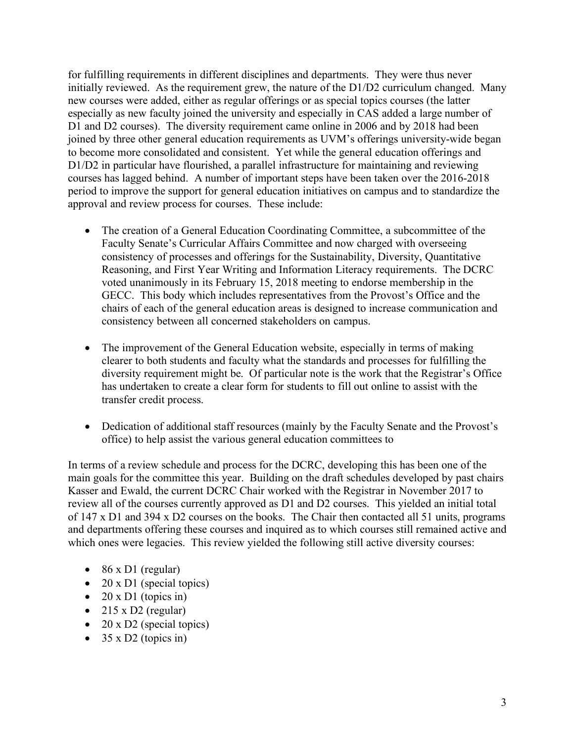for fulfilling requirements in different disciplines and departments. They were thus never initially reviewed. As the requirement grew, the nature of the D1/D2 curriculum changed. Many new courses were added, either as regular offerings or as special topics courses (the latter especially as new faculty joined the university and especially in CAS added a large number of D1 and D2 courses). The diversity requirement came online in 2006 and by 2018 had been joined by three other general education requirements as UVM's offerings university-wide began to become more consolidated and consistent. Yet while the general education offerings and D1/D2 in particular have flourished, a parallel infrastructure for maintaining and reviewing courses has lagged behind. A number of important steps have been taken over the 2016-2018 period to improve the support for general education initiatives on campus and to standardize the approval and review process for courses. These include:

- The creation of a General Education Coordinating Committee, a subcommittee of the Faculty Senate's Curricular Affairs Committee and now charged with overseeing consistency of processes and offerings for the Sustainability, Diversity, Quantitative Reasoning, and First Year Writing and Information Literacy requirements. The DCRC voted unanimously in its February 15, 2018 meeting to endorse membership in the GECC. This body which includes representatives from the Provost's Office and the chairs of each of the general education areas is designed to increase communication and consistency between all concerned stakeholders on campus.
- The improvement of the General Education website, especially in terms of making clearer to both students and faculty what the standards and processes for fulfilling the diversity requirement might be. Of particular note is the work that the Registrar's Office has undertaken to create a clear form for students to fill out online to assist with the transfer credit process.
- Dedication of additional staff resources (mainly by the Faculty Senate and the Provost's office) to help assist the various general education committees to

In terms of a review schedule and process for the DCRC, developing this has been one of the main goals for the committee this year. Building on the draft schedules developed by past chairs Kasser and Ewald, the current DCRC Chair worked with the Registrar in November 2017 to review all of the courses currently approved as D1 and D2 courses. This yielded an initial total of 147 x D1 and 394 x D2 courses on the books. The Chair then contacted all 51 units, programs and departments offering these courses and inquired as to which courses still remained active and which ones were legacies. This review yielded the following still active diversity courses:

- 86 x D1 (regular)
- 20 x D1 (special topics)
- 20 x D1 (topics in)
- 215 x D2 (regular)
- 20 x D2 (special topics)
- $35 \times D2$  (topics in)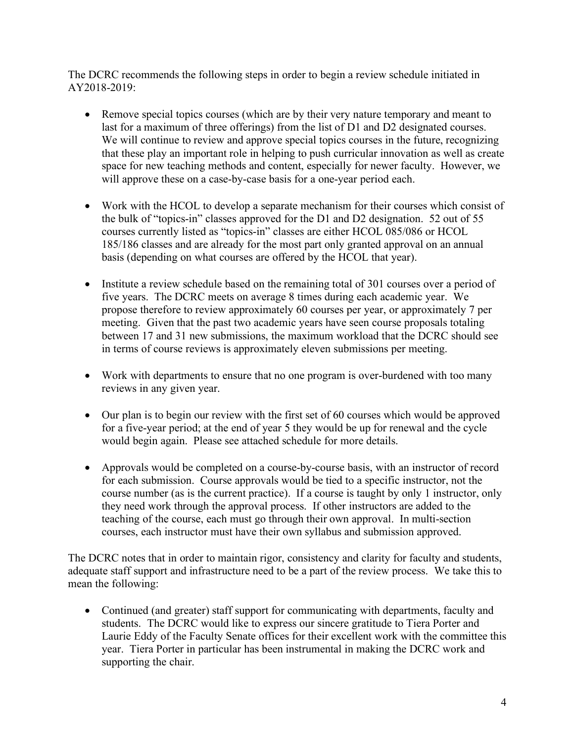The DCRC recommends the following steps in order to begin a review schedule initiated in AY2018-2019:

- Remove special topics courses (which are by their very nature temporary and meant to last for a maximum of three offerings) from the list of D1 and D2 designated courses. We will continue to review and approve special topics courses in the future, recognizing that these play an important role in helping to push curricular innovation as well as create space for new teaching methods and content, especially for newer faculty. However, we will approve these on a case-by-case basis for a one-year period each.
- Work with the HCOL to develop a separate mechanism for their courses which consist of the bulk of "topics-in" classes approved for the D1 and D2 designation. 52 out of 55 courses currently listed as "topics-in" classes are either HCOL 085/086 or HCOL 185/186 classes and are already for the most part only granted approval on an annual basis (depending on what courses are offered by the HCOL that year).
- Institute a review schedule based on the remaining total of 301 courses over a period of five years. The DCRC meets on average 8 times during each academic year. We propose therefore to review approximately 60 courses per year, or approximately 7 per meeting. Given that the past two academic years have seen course proposals totaling between 17 and 31 new submissions, the maximum workload that the DCRC should see in terms of course reviews is approximately eleven submissions per meeting.
- Work with departments to ensure that no one program is over-burdened with too many reviews in any given year.
- Our plan is to begin our review with the first set of 60 courses which would be approved for a five-year period; at the end of year 5 they would be up for renewal and the cycle would begin again. Please see attached schedule for more details.
- Approvals would be completed on a course-by-course basis, with an instructor of record for each submission. Course approvals would be tied to a specific instructor, not the course number (as is the current practice). If a course is taught by only 1 instructor, only they need work through the approval process. If other instructors are added to the teaching of the course, each must go through their own approval. In multi-section courses, each instructor must have their own syllabus and submission approved.

The DCRC notes that in order to maintain rigor, consistency and clarity for faculty and students, adequate staff support and infrastructure need to be a part of the review process. We take this to mean the following:

• Continued (and greater) staff support for communicating with departments, faculty and students. The DCRC would like to express our sincere gratitude to Tiera Porter and Laurie Eddy of the Faculty Senate offices for their excellent work with the committee this year. Tiera Porter in particular has been instrumental in making the DCRC work and supporting the chair.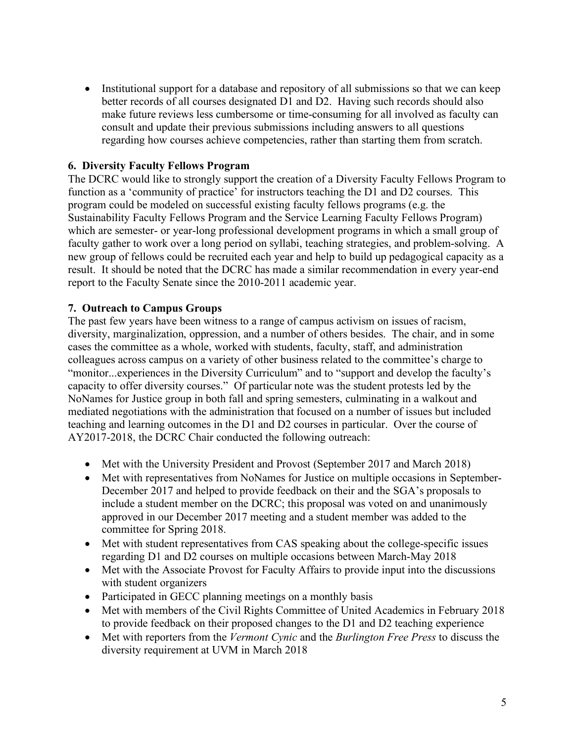• Institutional support for a database and repository of all submissions so that we can keep better records of all courses designated D1 and D2. Having such records should also make future reviews less cumbersome or time-consuming for all involved as faculty can consult and update their previous submissions including answers to all questions regarding how courses achieve competencies, rather than starting them from scratch.

# **6. Diversity Faculty Fellows Program**

The DCRC would like to strongly support the creation of a Diversity Faculty Fellows Program to function as a 'community of practice' for instructors teaching the D1 and D2 courses. This program could be modeled on successful existing faculty fellows programs (e.g. the Sustainability Faculty Fellows Program and the Service Learning Faculty Fellows Program) which are semester- or year-long professional development programs in which a small group of faculty gather to work over a long period on syllabi, teaching strategies, and problem-solving. A new group of fellows could be recruited each year and help to build up pedagogical capacity as a result. It should be noted that the DCRC has made a similar recommendation in every year-end report to the Faculty Senate since the 2010-2011 academic year.

## **7. Outreach to Campus Groups**

The past few years have been witness to a range of campus activism on issues of racism, diversity, marginalization, oppression, and a number of others besides. The chair, and in some cases the committee as a whole, worked with students, faculty, staff, and administration colleagues across campus on a variety of other business related to the committee's charge to "monitor...experiences in the Diversity Curriculum" and to "support and develop the faculty's capacity to offer diversity courses." Of particular note was the student protests led by the NoNames for Justice group in both fall and spring semesters, culminating in a walkout and mediated negotiations with the administration that focused on a number of issues but included teaching and learning outcomes in the D1 and D2 courses in particular. Over the course of AY2017-2018, the DCRC Chair conducted the following outreach:

- Met with the University President and Provost (September 2017 and March 2018)
- Met with representatives from NoNames for Justice on multiple occasions in September-December 2017 and helped to provide feedback on their and the SGA's proposals to include a student member on the DCRC; this proposal was voted on and unanimously approved in our December 2017 meeting and a student member was added to the committee for Spring 2018.
- Met with student representatives from CAS speaking about the college-specific issues regarding D1 and D2 courses on multiple occasions between March-May 2018
- Met with the Associate Provost for Faculty Affairs to provide input into the discussions with student organizers
- Participated in GECC planning meetings on a monthly basis
- Met with members of the Civil Rights Committee of United Academics in February 2018 to provide feedback on their proposed changes to the D1 and D2 teaching experience
- Met with reporters from the *Vermont Cynic* and the *Burlington Free Press* to discuss the diversity requirement at UVM in March 2018